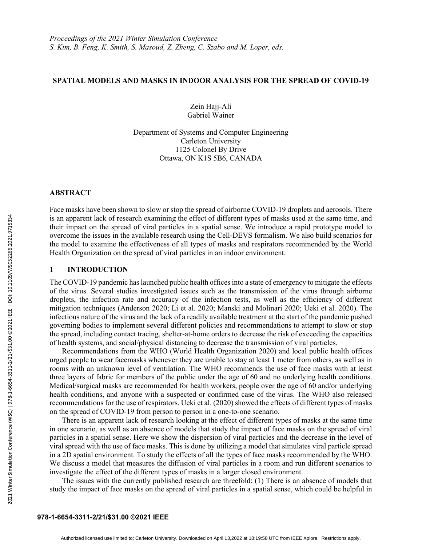## **SPATIAL MODELS AND MASKS IN INDOOR ANALYSIS FOR THE SPREAD OF COVID-19**

Zein Hajj-Ali Gabriel Wainer

Department of Systems and Computer Engineering Carleton University 1125 Colonel By Drive Ottawa, ON K1S 5B6, CANADA

#### **ABSTRACT**

2021 Winter Simulation Conference (WSC) | 978-1-6654-3311-2/21/\$31.00 ©2021 IEEE | DOI: 10.1109/WSC52266.2021.9715334

2021 Winter Simulation Conference (WSC) | 978-1-6654-3311-2/21/\$31.00 @2021 |EEE | DOI: 10.1109/WSC52266.2021.9715334

Face masks have been shown to slow or stop the spread of airborne COVID-19 droplets and aerosols. There is an apparent lack of research examining the effect of different types of masks used at the same time, and their impact on the spread of viral particles in a spatial sense. We introduce a rapid prototype model to overcome the issues in the available research using the Cell-DEVS formalism. We also build scenarios for the model to examine the effectiveness of all types of masks and respirators recommended by the World Health Organization on the spread of viral particles in an indoor environment.

# **1 INTRODUCTION**

The COVID-19 pandemic has launched public health offices into a state of emergency to mitigate the effects of the virus. Several studies investigated issues such as the transmission of the virus through airborne droplets, the infection rate and accuracy of the infection tests, as well as the efficiency of different mitigation techniques (Anderson 2020; Li et al. 2020; Manski and Molinari 2020; Ueki et al. 2020). The infectious nature of the virus and the lack of a readily available treatment at the start of the pandemic pushed governing bodies to implement several different policies and recommendations to attempt to slow or stop the spread, including contact tracing, shelter-at-home orders to decrease the risk of exceeding the capacities of health systems, and social/physical distancing to decrease the transmission of viral particles.

Recommendations from the WHO (World Health Organization 2020) and local public health offices urged people to wear facemasks whenever they are unable to stay at least 1 meter from others, as well as in rooms with an unknown level of ventilation. The WHO recommends the use of face masks with at least three layers of fabric for members of the public under the age of 60 and no underlying health conditions. Medical/surgical masks are recommended for health workers, people over the age of 60 and/or underlying health conditions, and anyone with a suspected or confirmed case of the virus. The WHO also released recommendations for the use of respirators. Ueki et al. (2020) showed the effects of different types of masks on the spread of COVID-19 from person to person in a one-to-one scenario.

There is an apparent lack of research looking at the effect of different types of masks at the same time in one scenario, as well as an absence of models that study the impact of face masks on the spread of viral particles in a spatial sense. Here we show the dispersion of viral particles and the decrease in the level of viral spread with the use of face masks. This is done by utilizing a model that simulates viral particle spread in a 2D spatial environment. To study the effects of all the types of face masks recommended by the WHO. We discuss a model that measures the diffusion of viral particles in a room and run different scenarios to investigate the effect of the different types of masks in a larger closed environment.

The issues with the currently published research are threefold: (1) There is an absence of models that study the impact of face masks on the spread of viral particles in a spatial sense, which could be helpful in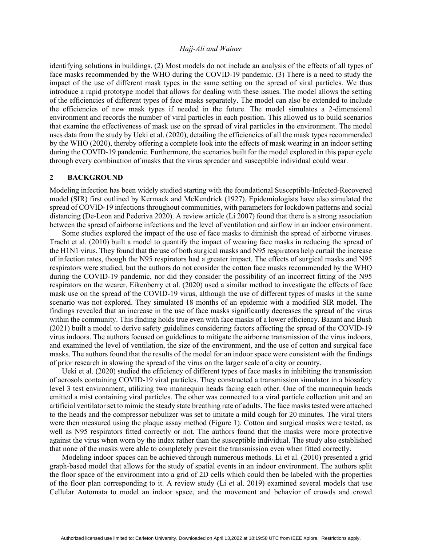identifying solutions in buildings. (2) Most models do not include an analysis of the effects of all types of face masks recommended by the WHO during the COVID-19 pandemic. (3) There is a need to study the impact of the use of different mask types in the same setting on the spread of viral particles. We thus introduce a rapid prototype model that allows for dealing with these issues. The model allows the setting of the efficiencies of different types of face masks separately. The model can also be extended to include the efficiencies of new mask types if needed in the future. The model simulates a 2-dimensional environment and records the number of viral particles in each position. This allowed us to build scenarios that examine the effectiveness of mask use on the spread of viral particles in the environment. The model uses data from the study by Ueki et al. (2020), detailing the efficiencies of all the mask types recommended by the WHO (2020), thereby offering a complete look into the effects of mask wearing in an indoor setting during the COVID-19 pandemic. Furthermore, the scenarios built for the model explored in this paper cycle through every combination of masks that the virus spreader and susceptible individual could wear.

### **2 BACKGROUND**

Modeling infection has been widely studied starting with the foundational Susceptible-Infected-Recovered model (SIR) first outlined by Kermack and McKendrick (1927). Epidemiologists have also simulated the spread of COVID-19 infections throughout communities, with parameters for lockdown patterns and social distancing (De-Leon and Pederiva 2020). A review article (Li 2007) found that there is a strong association between the spread of airborne infections and the level of ventilation and airflow in an indoor environment.

Some studies explored the impact of the use of face masks to diminish the spread of airborne viruses. Tracht et al. (2010) built a model to quantify the impact of wearing face masks in reducing the spread of the H1N1 virus. They found that the use of both surgical masks and N95 respirators help curtail the increase of infection rates, though the N95 respirators had a greater impact. The effects of surgical masks and N95 respirators were studied, but the authors do not consider the cotton face masks recommended by the WHO during the COVID-19 pandemic, nor did they consider the possibility of an incorrect fitting of the N95 respirators on the wearer. Eikenberry et al. (2020) used a similar method to investigate the effects of face mask use on the spread of the COVID-19 virus, although the use of different types of masks in the same scenario was not explored. They simulated 18 months of an epidemic with a modified SIR model. The findings revealed that an increase in the use of face masks significantly decreases the spread of the virus within the community. This finding holds true even with face masks of a lower efficiency. Bazant and Bush (2021) built a model to derive safety guidelines considering factors affecting the spread of the COVID-19 virus indoors. The authors focused on guidelines to mitigate the airborne transmission of the virus indoors, and examined the level of ventilation, the size of the environment, and the use of cotton and surgical face masks. The authors found that the results of the model for an indoor space were consistent with the findings of prior research in slowing the spread of the virus on the larger scale of a city or country.

Ueki et al. (2020) studied the efficiency of different types of face masks in inhibiting the transmission of aerosols containing COVID-19 viral particles. They constructed a transmission simulator in a biosafety level 3 test environment, utilizing two mannequin heads facing each other. One of the mannequin heads emitted a mist containing viral particles. The other was connected to a viral particle collection unit and an artificial ventilator set to mimic the steady state breathing rate of adults. The face masks tested were attached to the heads and the compressor nebulizer was set to imitate a mild cough for 20 minutes. The viral titers were then measured using the plaque assay method (Figure 1). Cotton and surgical masks were tested, as well as N95 respirators fitted correctly or not. The authors found that the masks were more protective against the virus when worn by the index rather than the susceptible individual. The study also established that none of the masks were able to completely prevent the transmission even when fitted correctly.

Modeling indoor spaces can be achieved through numerous methods. Li et al. (2010) presented a grid graph-based model that allows for the study of spatial events in an indoor environment. The authors split the floor space of the environment into a grid of 2D cells which could then be labeled with the properties of the floor plan corresponding to it. A review study (Li et al. 2019) examined several models that use Cellular Automata to model an indoor space, and the movement and behavior of crowds and crowd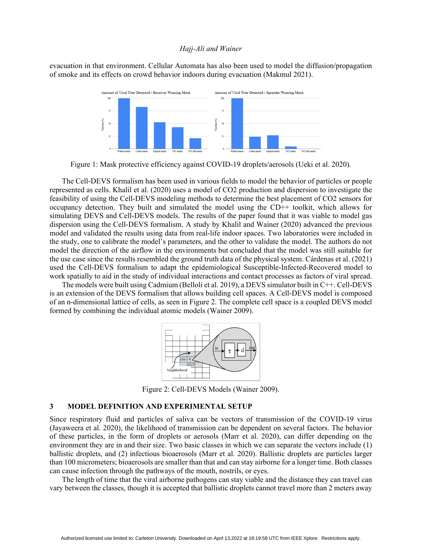evacuation in that environment. Cellular Automata has also been used to model the diffusion/propagation of smoke and its effects on crowd behavior indoors during evacuation (Makmul 2021).



Figure 1: Mask protective efficiency against COVID-19 droplets/aerosols (Ueki et al. 2020).

The Cell-DEVS formalism has been used in various fields to model the behavior of particles or people represented as cells. Khalil et al. (2020) uses a model of CO2 production and dispersion to investigate the feasibility of using the Cell-DEVS modeling methods to determine the best placement of CO2 sensors for occupancy detection. They built and simulated the model using the CD++ toolkit, which allows for simulating DEVS and Cell-DEVS models. The results of the paper found that it was viable to model gas dispersion using the Cell-DEVS formalism. A study by Khalil and Wainer (2020) advanced the previous model and validated the results using data from real-life indoor spaces. Two laboratories were included in the study, one to calibrate the model's parameters, and the other to validate the model. The authors do not model the direction of the airflow in the environments but concluded that the model was still suitable for the use case since the results resembled the ground truth data of the physical system. Cárdenas et al. (2021) used the Cell-DEVS formalism to adapt the epidemiological Susceptible-Infected-Recovered model to work spatially to aid in the study of individual interactions and contact processes as factors of viral spread.

The models were built using Cadmium (Belloli et al. 2019), a DEVS simulator built in C++. Cell-DEVS is an extension of the DEVS formalism that allows building cell spaces. A Cell-DEVS model is composed of an n-dimensional lattice of cells, as seen in Figure 2. The complete cell space is a coupled DEVS model formed by combining the individual atomic models (Wainer 2009).



Figure 2: Cell-DEVS Models (Wainer 2009).

# **3 MODEL DEFINITION AND EXPERIMENTAL SETUP**

Since respiratory fluid and particles of saliva can be vectors of transmission of the COVID-19 virus (Jayaweera et al. 2020), the likelihood of transmission can be dependent on several factors. The behavior of these particles, in the form of droplets or aerosols (Marr et al. 2020), can differ depending on the environment they are in and their size. Two basic classes in which we can separate the vectors include (1) ballistic droplets, and (2) infectious bioaerosols (Marr et al. 2020). Ballistic droplets are particles larger than 100 micrometers; bioaerosols are smaller than that and can stay airborne for a longer time. Both classes can cause infection through the pathways of the mouth, nostrils, or eyes.

The length of time that the viral airborne pathogens can stay viable and the distance they can travel can vary between the classes, though it is accepted that ballistic droplets cannot travel more than 2 meters away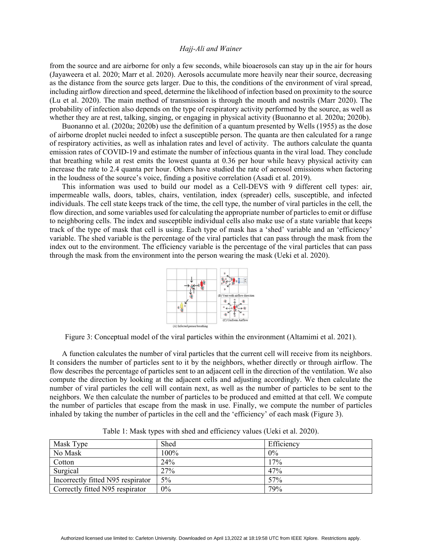from the source and are airborne for only a few seconds, while bioaerosols can stay up in the air for hours (Jayaweera et al. 2020; Marr et al. 2020). Aerosols accumulate more heavily near their source, decreasing as the distance from the source gets larger. Due to this, the conditions of the environment of viral spread, including airflow direction and speed, determine the likelihood of infection based on proximity to the source (Lu et al. 2020). The main method of transmission is through the mouth and nostrils (Marr 2020). The probability of infection also depends on the type of respiratory activity performed by the source, as well as whether they are at rest, talking, singing, or engaging in physical activity (Buonanno et al. 2020a; 2020b).

Buonanno et al. (2020a; 2020b) use the definition of a quantum presented by Wells (1955) as the dose of airborne droplet nuclei needed to infect a susceptible person. The quanta are then calculated for a range of respiratory activities, as well as inhalation rates and level of activity. The authors calculate the quanta emission rates of COVID-19 and estimate the number of infectious quanta in the viral load. They conclude that breathing while at rest emits the lowest quanta at 0.36 per hour while heavy physical activity can increase the rate to 2.4 quanta per hour. Others have studied the rate of aerosol emissions when factoring in the loudness of the source's voice, finding a positive correlation (Asadi et al. 2019).

This information was used to build our model as a Cell-DEVS with 9 different cell types: air, impermeable walls, doors, tables, chairs, ventilation, index (spreader) cells, susceptible, and infected individuals. The cell state keeps track of the time, the cell type, the number of viral particles in the cell, the flow direction, and some variables used for calculating the appropriate number of particles to emit or diffuse to neighboring cells. The index and susceptible individual cells also make use of a state variable that keeps track of the type of mask that cell is using. Each type of mask has a 'shed' variable and an 'efficiency' variable. The shed variable is the percentage of the viral particles that can pass through the mask from the index out to the environment. The efficiency variable is the percentage of the viral particles that can pass through the mask from the environment into the person wearing the mask (Ueki et al. 2020).



Figure 3: Conceptual model of the viral particles within the environment (Altamimi et al. 2021).

A function calculates the number of viral particles that the current cell will receive from its neighbors. It considers the number of particles sent to it by the neighbors, whether directly or through airflow. The flow describes the percentage of particles sent to an adjacent cell in the direction of the ventilation. We also compute the direction by looking at the adjacent cells and adjusting accordingly. We then calculate the number of viral particles the cell will contain next, as well as the number of particles to be sent to the neighbors. We then calculate the number of particles to be produced and emitted at that cell. We compute the number of particles that escape from the mask in use. Finally, we compute the number of particles inhaled by taking the number of particles in the cell and the 'efficiency' of each mask (Figure 3).

| Mask Type                         | Shed  | Efficiency |
|-----------------------------------|-------|------------|
| No Mask                           | 100%  | 0%         |
| Cotton                            | 24%   | 17%        |
| Surgical                          | 27%   | 47%        |
| Incorrectly fitted N95 respirator | $5\%$ | 57%        |
| Correctly fitted N95 respirator   | $0\%$ | 79%        |

Table 1: Mask types with shed and efficiency values (Ueki et al. 2020).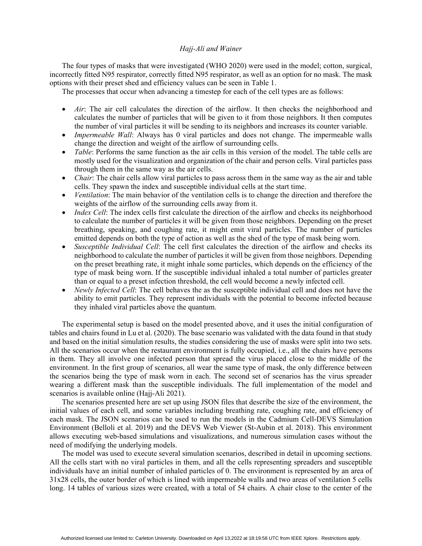The four types of masks that were investigated (WHO 2020) were used in the model; cotton, surgical, incorrectly fitted N95 respirator, correctly fitted N95 respirator, as well as an option for no mask. The mask options with their preset shed and efficiency values can be seen in Table 1.

The processes that occur when advancing a timestep for each of the cell types are as follows:

- *Air*: The air cell calculates the direction of the airflow. It then checks the neighborhood and calculates the number of particles that will be given to it from those neighbors. It then computes the number of viral particles it will be sending to its neighbors and increases its counter variable.
- *Impermeable Wall*: Always has 0 viral particles and does not change. The impermeable walls change the direction and weight of the airflow of surrounding cells.
- *Table*: Performs the same function as the air cells in this version of the model. The table cells are mostly used for the visualization and organization of the chair and person cells. Viral particles pass through them in the same way as the air cells.
- *Chair*: The chair cells allow viral particles to pass across them in the same way as the air and table cells. They spawn the index and susceptible individual cells at the start time.
- *Ventilation*: The main behavior of the ventilation cells is to change the direction and therefore the weights of the airflow of the surrounding cells away from it.
- *Index Cell*: The index cells first calculate the direction of the airflow and checks its neighborhood to calculate the number of particles it will be given from those neighbors. Depending on the preset breathing, speaking, and coughing rate, it might emit viral particles. The number of particles emitted depends on both the type of action as well as the shed of the type of mask being worn.
- *Susceptible Individual Cell*: The cell first calculates the direction of the airflow and checks its neighborhood to calculate the number of particles it will be given from those neighbors. Depending on the preset breathing rate, it might inhale some particles, which depends on the efficiency of the type of mask being worn. If the susceptible individual inhaled a total number of particles greater than or equal to a preset infection threshold, the cell would become a newly infected cell.
- *Newly Infected Cell*: The cell behaves the as the susceptible individual cell and does not have the ability to emit particles. They represent individuals with the potential to become infected because they inhaled viral particles above the quantum.

The experimental setup is based on the model presented above, and it uses the initial configuration of tables and chairs found in Lu et al. (2020). The base scenario was validated with the data found in that study and based on the initial simulation results, the studies considering the use of masks were split into two sets. All the scenarios occur when the restaurant environment is fully occupied, i.e., all the chairs have persons in them. They all involve one infected person that spread the virus placed close to the middle of the environment. In the first group of scenarios, all wear the same type of mask, the only difference between the scenarios being the type of mask worn in each. The second set of scenarios has the virus spreader wearing a different mask than the susceptible individuals. The full implementation of the model and scenarios is available online (Hajj-Ali 2021).

The scenarios presented here are set up using JSON files that describe the size of the environment, the initial values of each cell, and some variables including breathing rate, coughing rate, and efficiency of each mask. The JSON scenarios can be used to run the models in the Cadmium Cell-DEVS Simulation Environment (Belloli et al. 2019) and the DEVS Web Viewer (St-Aubin et al. 2018). This environment allows executing web-based simulations and visualizations, and numerous simulation cases without the need of modifying the underlying models.

The model was used to execute several simulation scenarios, described in detail in upcoming sections. All the cells start with no viral particles in them, and all the cells representing spreaders and susceptible individuals have an initial number of inhaled particles of 0. The environment is represented by an area of 31x28 cells, the outer border of which is lined with impermeable walls and two areas of ventilation 5 cells long. 14 tables of various sizes were created, with a total of 54 chairs. A chair close to the center of the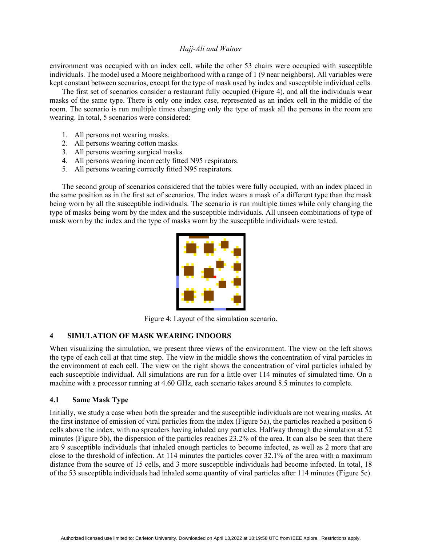environment was occupied with an index cell, while the other 53 chairs were occupied with susceptible individuals. The model used a Moore neighborhood with a range of 1 (9 near neighbors). All variables were kept constant between scenarios, except for the type of mask used by index and susceptible individual cells.

The first set of scenarios consider a restaurant fully occupied (Figure 4), and all the individuals wear masks of the same type. There is only one index case, represented as an index cell in the middle of the room. The scenario is run multiple times changing only the type of mask all the persons in the room are wearing. In total, 5 scenarios were considered:

- 1. All persons not wearing masks.
- 2. All persons wearing cotton masks.
- 3. All persons wearing surgical masks.
- 4. All persons wearing incorrectly fitted N95 respirators.
- 5. All persons wearing correctly fitted N95 respirators.

The second group of scenarios considered that the tables were fully occupied, with an index placed in the same position as in the first set of scenarios. The index wears a mask of a different type than the mask being worn by all the susceptible individuals. The scenario is run multiple times while only changing the type of masks being worn by the index and the susceptible individuals. All unseen combinations of type of mask worn by the index and the type of masks worn by the susceptible individuals were tested.



Figure 4: Layout of the simulation scenario.

# **4 SIMULATION OF MASK WEARING INDOORS**

When visualizing the simulation, we present three views of the environment. The view on the left shows the type of each cell at that time step. The view in the middle shows the concentration of viral particles in the environment at each cell. The view on the right shows the concentration of viral particles inhaled by each susceptible individual. All simulations are run for a little over 114 minutes of simulated time. On a machine with a processor running at 4.60 GHz, each scenario takes around 8.5 minutes to complete.

## **4.1 Same Mask Type**

Initially, we study a case when both the spreader and the susceptible individuals are not wearing masks. At the first instance of emission of viral particles from the index (Figure 5a), the particles reached a position 6 cells above the index, with no spreaders having inhaled any particles. Halfway through the simulation at 52 minutes (Figure 5b), the dispersion of the particles reaches 23.2% of the area. It can also be seen that there are 9 susceptible individuals that inhaled enough particles to become infected, as well as 2 more that are close to the threshold of infection. At 114 minutes the particles cover 32.1% of the area with a maximum distance from the source of 15 cells, and 3 more susceptible individuals had become infected. In total, 18 of the 53 susceptible individuals had inhaled some quantity of viral particles after 114 minutes (Figure 5c).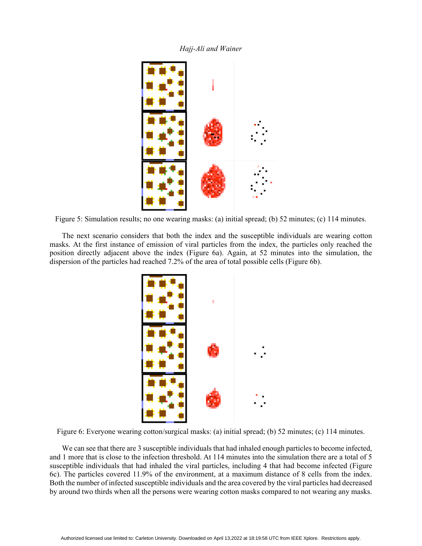



Figure 5: Simulation results; no one wearing masks: (a) initial spread; (b) 52 minutes; (c) 114 minutes.

The next scenario considers that both the index and the susceptible individuals are wearing cotton masks. At the first instance of emission of viral particles from the index, the particles only reached the position directly adjacent above the index (Figure 6a). Again, at 52 minutes into the simulation, the dispersion of the particles had reached 7.2% of the area of total possible cells (Figure 6b).



Figure 6: Everyone wearing cotton/surgical masks: (a) initial spread; (b) 52 minutes; (c) 114 minutes.

We can see that there are 3 susceptible individuals that had inhaled enough particles to become infected, and 1 more that is close to the infection threshold. At 114 minutes into the simulation there are a total of 5 susceptible individuals that had inhaled the viral particles, including 4 that had become infected (Figure 6c). The particles covered 11.9% of the environment, at a maximum distance of 8 cells from the index. Both the number of infected susceptible individuals and the area covered by the viral particles had decreased by around two thirds when all the persons were wearing cotton masks compared to not wearing any masks.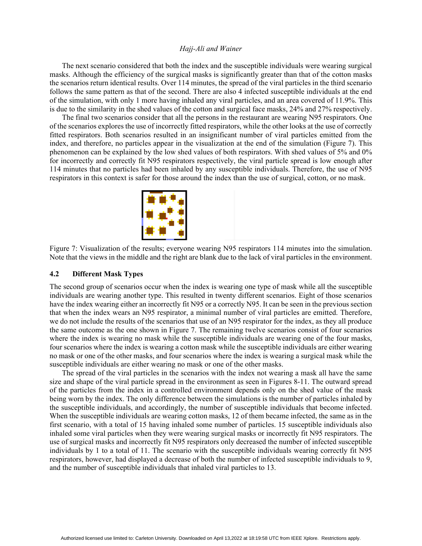The next scenario considered that both the index and the susceptible individuals were wearing surgical masks. Although the efficiency of the surgical masks is significantly greater than that of the cotton masks the scenarios return identical results. Over 114 minutes, the spread of the viral particles in the third scenario follows the same pattern as that of the second. There are also 4 infected susceptible individuals at the end of the simulation, with only 1 more having inhaled any viral particles, and an area covered of 11.9%. This is due to the similarity in the shed values of the cotton and surgical face masks, 24% and 27% respectively.

The final two scenarios consider that all the persons in the restaurant are wearing N95 respirators. One of the scenarios explores the use of incorrectly fitted respirators, while the other looks at the use of correctly fitted respirators. Both scenarios resulted in an insignificant number of viral particles emitted from the index, and therefore, no particles appear in the visualization at the end of the simulation (Figure 7). This phenomenon can be explained by the low shed values of both respirators. With shed values of 5% and 0% for incorrectly and correctly fit N95 respirators respectively, the viral particle spread is low enough after 114 minutes that no particles had been inhaled by any susceptible individuals. Therefore, the use of N95 respirators in this context is safer for those around the index than the use of surgical, cotton, or no mask.



Figure 7: Visualization of the results; everyone wearing N95 respirators 114 minutes into the simulation. Note that the views in the middle and the right are blank due to the lack of viral particles in the environment.

### **4.2 Different Mask Types**

The second group of scenarios occur when the index is wearing one type of mask while all the susceptible individuals are wearing another type. This resulted in twenty different scenarios. Eight of those scenarios have the index wearing either an incorrectly fit N95 or a correctly N95. It can be seen in the previous section that when the index wears an N95 respirator, a minimal number of viral particles are emitted. Therefore, we do not include the results of the scenarios that use of an N95 respirator for the index, as they all produce the same outcome as the one shown in Figure 7. The remaining twelve scenarios consist of four scenarios where the index is wearing no mask while the susceptible individuals are wearing one of the four masks, four scenarios where the index is wearing a cotton mask while the susceptible individuals are either wearing no mask or one of the other masks, and four scenarios where the index is wearing a surgical mask while the susceptible individuals are either wearing no mask or one of the other masks.

The spread of the viral particles in the scenarios with the index not wearing a mask all have the same size and shape of the viral particle spread in the environment as seen in Figures 8-11. The outward spread of the particles from the index in a controlled environment depends only on the shed value of the mask being worn by the index. The only difference between the simulations is the number of particles inhaled by the susceptible individuals, and accordingly, the number of susceptible individuals that become infected. When the susceptible individuals are wearing cotton masks, 12 of them became infected, the same as in the first scenario, with a total of 15 having inhaled some number of particles. 15 susceptible individuals also inhaled some viral particles when they were wearing surgical masks or incorrectly fit N95 respirators. The use of surgical masks and incorrectly fit N95 respirators only decreased the number of infected susceptible individuals by 1 to a total of 11. The scenario with the susceptible individuals wearing correctly fit N95 respirators, however, had displayed a decrease of both the number of infected susceptible individuals to 9, and the number of susceptible individuals that inhaled viral particles to 13.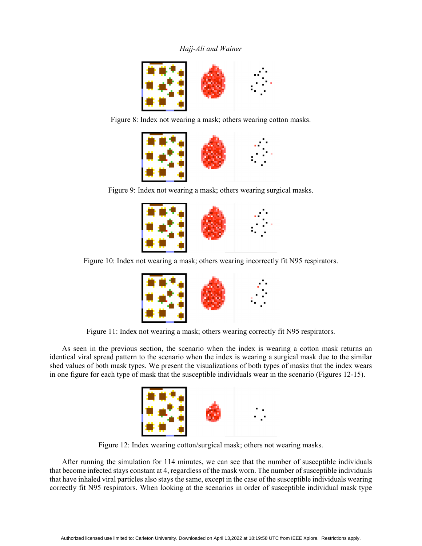

Figure 8: Index not wearing a mask; others wearing cotton masks.



Figure 9: Index not wearing a mask; others wearing surgical masks.



Figure 10: Index not wearing a mask; others wearing incorrectly fit N95 respirators.



Figure 11: Index not wearing a mask; others wearing correctly fit N95 respirators.

As seen in the previous section, the scenario when the index is wearing a cotton mask returns an identical viral spread pattern to the scenario when the index is wearing a surgical mask due to the similar shed values of both mask types. We present the visualizations of both types of masks that the index wears in one figure for each type of mask that the susceptible individuals wear in the scenario (Figures 12-15).



Figure 12: Index wearing cotton/surgical mask; others not wearing masks.

After running the simulation for 114 minutes, we can see that the number of susceptible individuals that become infected stays constant at 4, regardless of the mask worn. The number of susceptible individuals that have inhaled viral particles also stays the same, except in the case of the susceptible individuals wearing correctly fit N95 respirators. When looking at the scenarios in order of susceptible individual mask type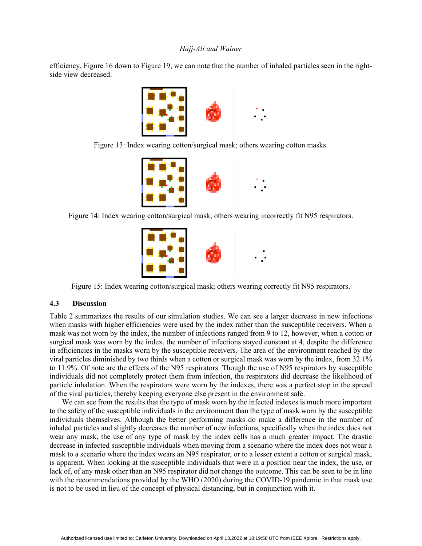efficiency, Figure 16 down to Figure 19, we can note that the number of inhaled particles seen in the rightside view decreased.



Figure 13: Index wearing cotton/surgical mask; others wearing cotton masks.



Figure 14: Index wearing cotton/surgical mask; others wearing incorrectly fit N95 respirators.



Figure 15: Index wearing cotton/surgical mask; others wearing correctly fit N95 respirators.

## **4.3 Discussion**

Table 2 summarizes the results of our simulation studies. We can see a larger decrease in new infections when masks with higher efficiencies were used by the index rather than the susceptible receivers. When a mask was not worn by the index, the number of infections ranged from 9 to 12, however, when a cotton or surgical mask was worn by the index, the number of infections stayed constant at 4, despite the difference in efficiencies in the masks worn by the susceptible receivers. The area of the environment reached by the viral particles diminished by two thirds when a cotton or surgical mask was worn by the index, from 32.1% to 11.9%. Of note are the effects of the N95 respirators. Though the use of N95 respirators by susceptible individuals did not completely protect them from infection, the respirators did decrease the likelihood of particle inhalation. When the respirators were worn by the indexes, there was a perfect stop in the spread of the viral particles, thereby keeping everyone else present in the environment safe.

We can see from the results that the type of mask worn by the infected indexes is much more important to the safety of the susceptible individuals in the environment than the type of mask worn by the susceptible individuals themselves. Although the better performing masks do make a difference in the number of inhaled particles and slightly decreases the number of new infections, specifically when the index does not wear any mask, the use of any type of mask by the index cells has a much greater impact. The drastic decrease in infected susceptible individuals when moving from a scenario where the index does not wear a mask to a scenario where the index wears an N95 respirator, or to a lesser extent a cotton or surgical mask, is apparent. When looking at the susceptible individuals that were in a position near the index, the use, or lack of, of any mask other than an N95 respirator did not change the outcome. This can be seen to be in line with the recommendations provided by the WHO (2020) during the COVID-19 pandemic in that mask use is not to be used in lieu of the concept of physical distancing, but in conjunction with it.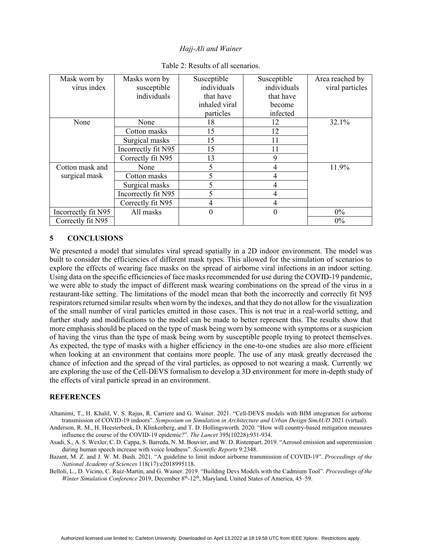| Mask worn by        | Masks worn by       | Susceptible   | Susceptible    | Area reached by |
|---------------------|---------------------|---------------|----------------|-----------------|
| virus index         | susceptible         | individuals   | individuals    | viral particles |
|                     | individuals         | that have     | that have      |                 |
|                     |                     | inhaled viral | become         |                 |
|                     |                     | particles     | infected       |                 |
| None                | None                | 18            | 12             | 32.1%           |
|                     | Cotton masks        | 15            | 12             |                 |
|                     | Surgical masks      | 15            | 11             |                 |
|                     | Incorrectly fit N95 | 15            | 11             |                 |
|                     | Correctly fit N95   | 13            | 9              |                 |
| Cotton mask and     | None                | 5             | 4              | 11.9%           |
| surgical mask       | Cotton masks        |               | 4              |                 |
|                     | Surgical masks      |               | 4              |                 |
|                     | Incorrectly fit N95 | 5             | 4              |                 |
|                     | Correctly fit N95   | 4             | 4              |                 |
| Incorrectly fit N95 | All masks           | $\theta$      | $\overline{0}$ | $0\%$           |
| Correctly fit N95   |                     |               |                | 0%              |

|  |  | Table 2: Results of all scenarios. |
|--|--|------------------------------------|
|  |  |                                    |

# **5 CONCLUSIONS**

We presented a model that simulates viral spread spatially in a 2D indoor environment. The model was built to consider the efficiencies of different mask types. This allowed for the simulation of scenarios to explore the effects of wearing face masks on the spread of airborne viral infections in an indoor setting. Using data on the specific efficiencies of face masks recommended for use during the COVID-19 pandemic, we were able to study the impact of different mask wearing combinations on the spread of the virus in a restaurant-like setting. The limitations of the model mean that both the incorrectly and correctly fit N95 respirators returned similar results when worn by the indexes, and that they do not allow for the visualization of the small number of viral particles emitted in those cases. This is not true in a real-world setting, and further study and modifications to the model can be made to better represent this. The results show that more emphasis should be placed on the type of mask being worn by someone with symptoms or a suspicion of having the virus than the type of mask being worn by susceptible people trying to protect themselves. As expected, the type of masks with a higher efficiency in the one-to-one studies are also more efficient when looking at an environment that contains more people. The use of any mask greatly decreased the chance of infection and the spread of the viral particles, as opposed to not wearing a mask. Currently we are exploring the use of the Cell-DEVS formalism to develop a 3D environment for more in-depth study of the effects of viral particle spread in an environment.

## **REFERENCES**

- Altamimi, T., H. Khalil, V. S. Rajus, R. Carriere and G. Wainer. 2021. "Cell-DEVS models with BIM integration for airborne transmission of COVID-19 indoors". *Symposium on Simulation in Architecture and Urban Design SimAUD* 2021 (virtual).
- Anderson, R. M., H. Heesterbeek, D. Klinkenberg, and T. D. Hollingsworth. 2020. "How will country-based mitigation measures influence the course of the COVID-19 epidemic?". *The Lancet* 395(10228):931-934.
- Asadi, S., A. S. Wexler, C. D. Cappa, S. Barreda, N. M. Bouvier, and W. D. Ristenpart. 2019. "Aerosol emission and superemission during human speech increase with voice loudness". *Scientific Reports* 9:2348.
- Bazant, M. Z. and J. W. M. Bush. 2021. "A guideline to limit indoor airborne transmission of COVID-19". *Proceedings of the National Academy of Sciences* 118(17):e2018995118.
- Belloli, L., D. Vicino, C. Ruiz-Martin, and G. Wainer. 2019. "Building Devs Models with the Cadmium Tool". *Proceedings of the Winter Simulation Conference* 2019, December 8<sup>th</sup>-12<sup>th</sup>, Maryland, United States of America, 45–59.